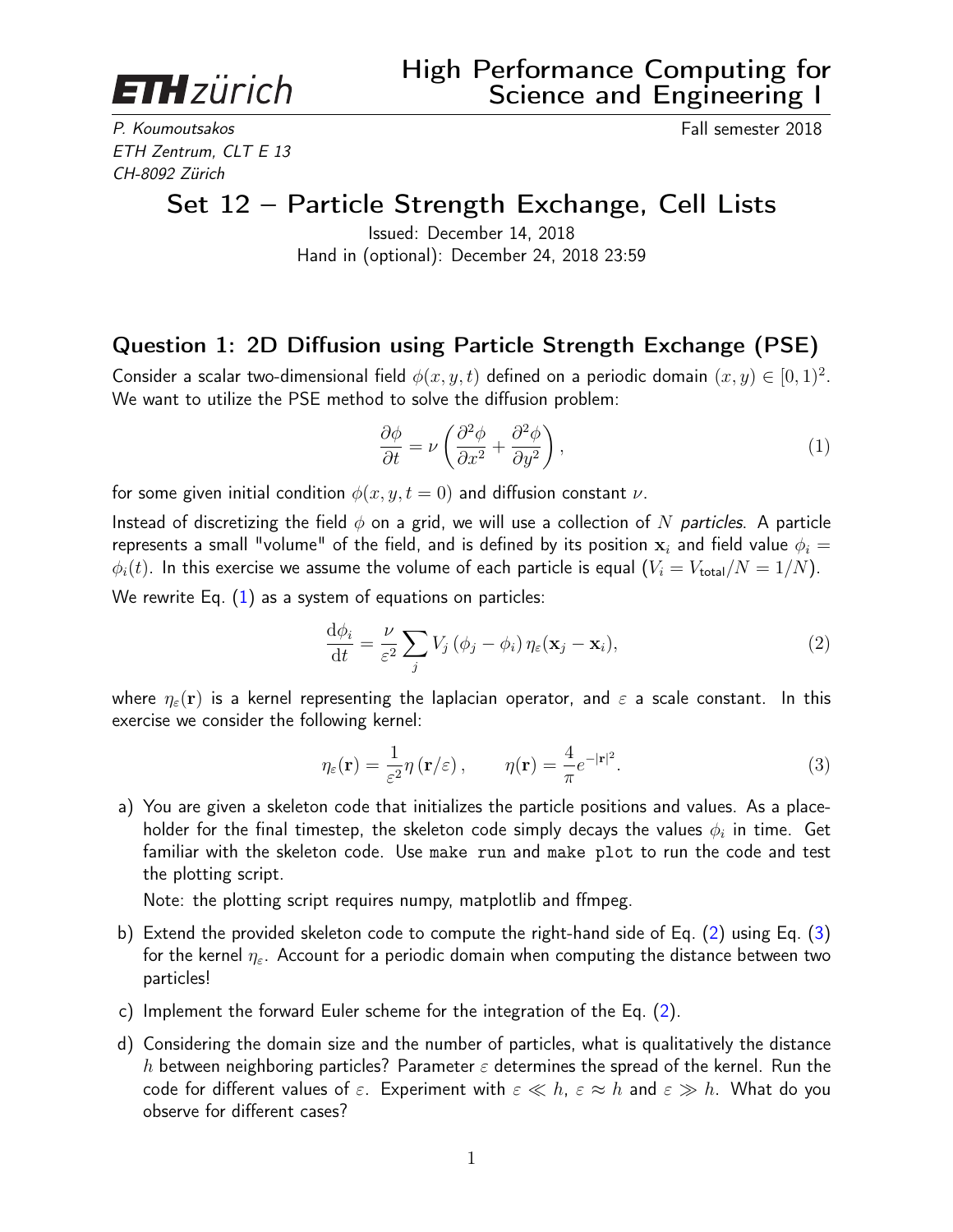<span id="page-0-3"></span>**ETH** zürich

P. Koumoutsakos **Fall semester 2018** ETH Zentrum, CLT E 13 CH-8092 Zürich

## Set 12 – Particle Strength Exchange, Cell Lists

Issued: December 14, 2018 Hand in (optional): December 24, 2018 23:59

## Question 1: 2D Diffusion using Particle Strength Exchange (PSE)

Consider a scalar two-dimensional field  $\phi(x, y, t)$  defined on a periodic domain  $(x, y) \in [0, 1)^2$ . We want to utilize the PSE method to solve the diffusion problem:

<span id="page-0-1"></span><span id="page-0-0"></span>
$$
\frac{\partial \phi}{\partial t} = \nu \left( \frac{\partial^2 \phi}{\partial x^2} + \frac{\partial^2 \phi}{\partial y^2} \right),\tag{1}
$$

for some given initial condition  $\phi(x, y, t = 0)$  and diffusion constant  $\nu$ .

Instead of discretizing the field  $\phi$  on a grid, we will use a collection of N particles. A particle represents a small "volume" of the field, and is defined by its position  $x_i$  and field value  $\phi_i =$  $\phi_i(t)$ . In this exercise we assume the volume of each particle is equal  $(V_i = V_{total}/N = 1/N)$ . We rewrite Eq.  $(1)$  as a system of equations on particles:

$$
\frac{\mathrm{d}\phi_i}{\mathrm{d}t} = \frac{\nu}{\varepsilon^2} \sum_j V_j \left( \phi_j - \phi_i \right) \eta_\varepsilon(\mathbf{x}_j - \mathbf{x}_i),\tag{2}
$$

where  $\eta_{\varepsilon}(\mathbf{r})$  is a kernel representing the laplacian operator, and  $\varepsilon$  a scale constant. In this exercise we consider the following kernel:

<span id="page-0-2"></span>
$$
\eta_{\varepsilon}(\mathbf{r}) = \frac{1}{\varepsilon^2} \eta\left(\mathbf{r}/\varepsilon\right), \qquad \eta(\mathbf{r}) = \frac{4}{\pi} e^{-|\mathbf{r}|^2}.
$$
\n(3)

a) You are given a skeleton code that initializes the particle positions and values. As a placeholder for the final timestep, the skeleton code simply decays the values  $\phi_i$  in time. Get familiar with the skeleton code. Use make run and make plot to run the code and test the plotting script.

Note: the plotting script requires numpy, matplotlib and ffmpeg.

- b) Extend the provided skeleton code to compute the right-hand side of Eq. [\(2\)](#page-0-1) using Eq. [\(3\)](#page-0-2) for the kernel  $\eta_{\varepsilon}$ . Account for a periodic domain when computing the distance between two particles!
- c) Implement the forward Euler scheme for the integration of the Eq. [\(2\)](#page-0-1).
- d) Considering the domain size and the number of particles, what is qualitatively the distance h between neighboring particles? Parameter  $\varepsilon$  determines the spread of the kernel. Run the code for different values of  $\varepsilon$ . Experiment with  $\varepsilon \ll h$ ,  $\varepsilon \approx h$  and  $\varepsilon \gg h$ . What do you observe for different cases?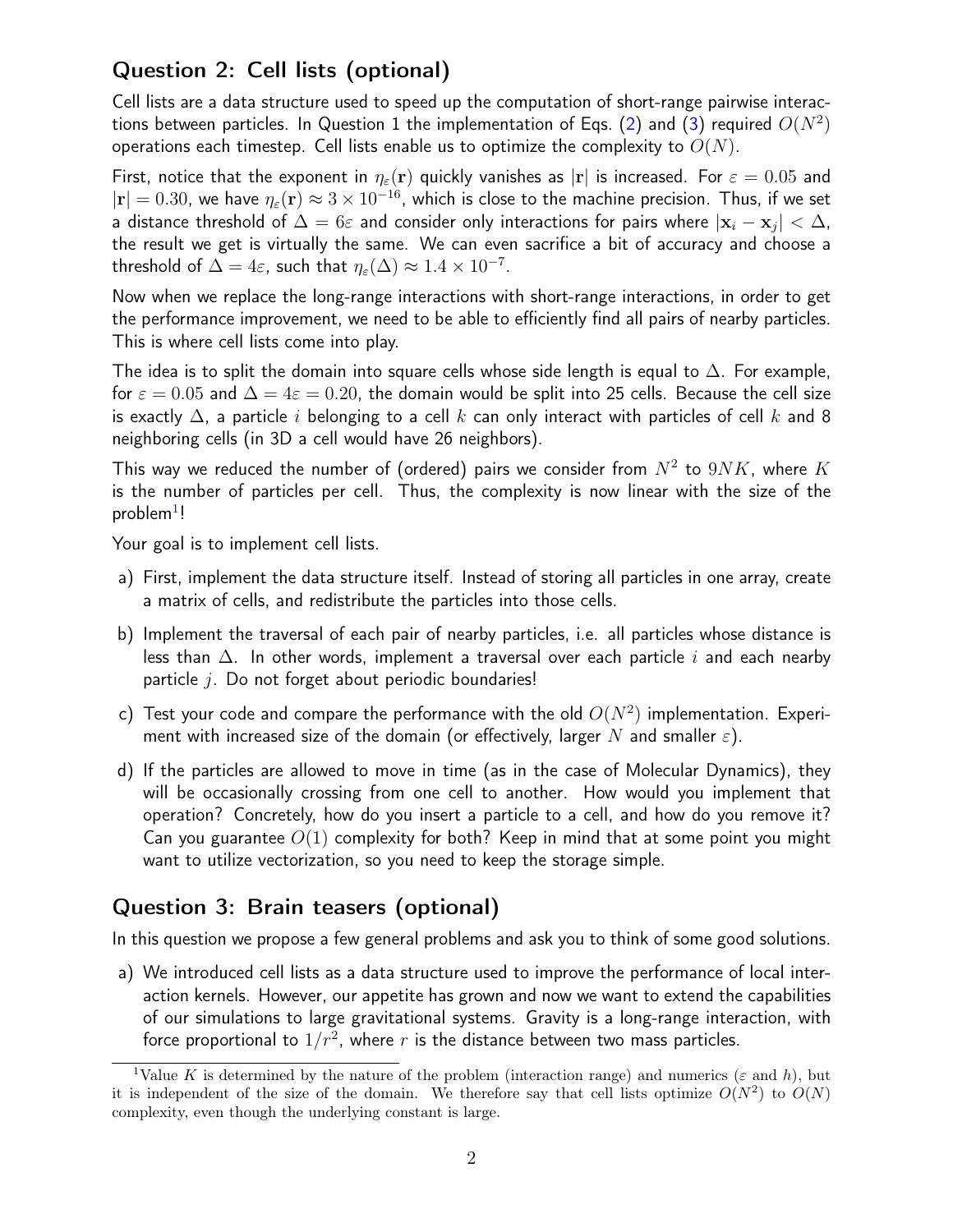## Question 2: Cell lists (optional)

Cell lists are a data structure used to speed up the computation of short-range pairwise interac-tions between particles. In Question 1 the implementation of Eqs. [\(2\)](#page-0-1) and [\(3\)](#page-0-2) required  $O(N^2)$ operations each timestep. Cell lists enable us to optimize the complexity to  $O(N)$ .

First, notice that the exponent in  $\eta_{\varepsilon}(\mathbf{r})$  quickly vanishes as  $|\mathbf{r}|$  is increased. For  $\varepsilon = 0.05$  and  $|\mathbf{r}| = 0.30$ , we have  $\eta_{\varepsilon}(\mathbf{r}) \approx 3 \times 10^{-16}$ , which is close to the machine precision. Thus, if we set a distance threshold of  $\Delta=6\varepsilon$  and consider only interactions for pairs where  $|{\bf x}_i-{\bf x}_j|<\Delta$ , the result we get is virtually the same. We can even sacrifice a bit of accuracy and choose a threshold of  $\Delta = 4\varepsilon$ , such that  $\eta_{\varepsilon}(\Delta) \approx 1.4 \times 10^{-7}$ .

Now when we replace the long-range interactions with short-range interactions, in order to get the performance improvement, we need to be able to efficiently find all pairs of nearby particles. This is where cell lists come into play.

The idea is to split the domain into square cells whose side length is equal to  $\Delta$ . For example, for  $\varepsilon = 0.05$  and  $\Delta = 4\varepsilon = 0.20$ , the domain would be split into 25 cells. Because the cell size is exactly  $\Delta$ , a particle i belonging to a cell k can only interact with particles of cell k and 8 neighboring cells (in 3D a cell would have 26 neighbors).

This way we reduced the number of (ordered) pairs we consider from  $N^2$  to  $9NK$ , where  $K$ is the number of particles per cell. Thus, the complexity is now linear with the size of the problem<sup>[1](#page-0-3)</sup>!

Your goal is to implement cell lists.

- a) First, implement the data structure itself. Instead of storing all particles in one array, create a matrix of cells, and redistribute the particles into those cells.
- b) Implement the traversal of each pair of nearby particles, i.e. all particles whose distance is less than  $\Delta$ . In other words, implement a traversal over each particle i and each nearby particle  $j$ . Do not forget about periodic boundaries!
- c) Test your code and compare the performance with the old  $O(N^2)$  implementation. Experiment with increased size of the domain (or effectively, larger N and smaller  $\varepsilon$ ).
- d) If the particles are allowed to move in time (as in the case of Molecular Dynamics), they will be occasionally crossing from one cell to another. How would you implement that operation? Concretely, how do you insert a particle to a cell, and how do you remove it? Can you guarantee  $O(1)$  complexity for both? Keep in mind that at some point you might want to utilize vectorization, so you need to keep the storage simple.

## Question 3: Brain teasers (optional)

In this question we propose a few general problems and ask you to think of some good solutions.

a) We introduced cell lists as a data structure used to improve the performance of local interaction kernels. However, our appetite has grown and now we want to extend the capabilities of our simulations to large gravitational systems. Gravity is a long-range interaction, with force proportional to  $1/r^2$ , where  $r$  is the distance between two mass particles.

<sup>&</sup>lt;sup>1</sup>Value K is determined by the nature of the problem (interaction range) and numerics ( $\varepsilon$  and h), but it is independent of the size of the domain. We therefore say that cell lists optimize  $O(N^2)$  to  $O(N)$ complexity, even though the underlying constant is large.